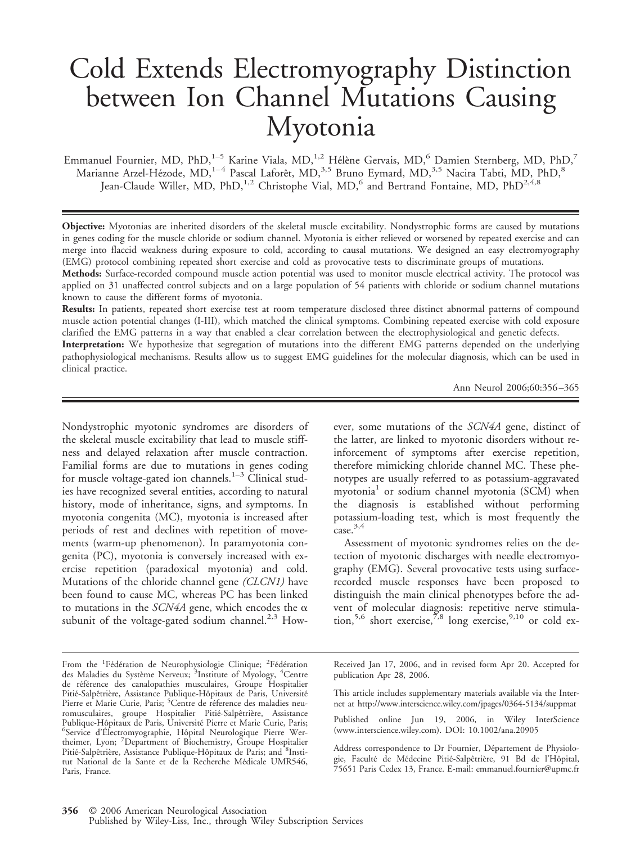# Cold Extends Electromyography Distinction between Ion Channel Mutations Causing Myotonia

Emmanuel Fournier, MD, PhD,<sup>1–5</sup> Karine Viala, MD,<sup>1,2</sup> Hélène Gervais, MD,<sup>6</sup> Damien Sternberg, MD, PhD,<sup>7</sup> Marianne Arzel-Hézode, MD,<sup>1–4</sup> Pascal Laforêt, MD,<sup>3,5</sup> Bruno Eymard, MD,<sup>3,5</sup> Nacira Tabti, MD, PhD,<sup>8</sup> Jean-Claude Willer, MD, PhD,<sup>1,2</sup> Christophe Vial, MD,<sup>6</sup> and Bertrand Fontaine, MD, PhD<sup>2,4,8</sup>

**Objective:** Myotonias are inherited disorders of the skeletal muscle excitability. Nondystrophic forms are caused by mutations in genes coding for the muscle chloride or sodium channel. Myotonia is either relieved or worsened by repeated exercise and can merge into flaccid weakness during exposure to cold, according to causal mutations. We designed an easy electromyography (EMG) protocol combining repeated short exercise and cold as provocative tests to discriminate groups of mutations.

**Methods:** Surface-recorded compound muscle action potential was used to monitor muscle electrical activity. The protocol was applied on 31 unaffected control subjects and on a large population of 54 patients with chloride or sodium channel mutations known to cause the different forms of myotonia.

**Results:** In patients, repeated short exercise test at room temperature disclosed three distinct abnormal patterns of compound muscle action potential changes (I-III), which matched the clinical symptoms. Combining repeated exercise with cold exposure clarified the EMG patterns in a way that enabled a clear correlation between the electrophysiological and genetic defects.

**Interpretation:** We hypothesize that segregation of mutations into the different EMG patterns depended on the underlying pathophysiological mechanisms. Results allow us to suggest EMG guidelines for the molecular diagnosis, which can be used in clinical practice.

Ann Neurol 2006;60:356 –365

Nondystrophic myotonic syndromes are disorders of the skeletal muscle excitability that lead to muscle stiffness and delayed relaxation after muscle contraction. Familial forms are due to mutations in genes coding for muscle voltage-gated ion channels.<sup>1–3</sup> Clinical studies have recognized several entities, according to natural history, mode of inheritance, signs, and symptoms. In myotonia congenita (MC), myotonia is increased after periods of rest and declines with repetition of movements (warm-up phenomenon). In paramyotonia congenita (PC), myotonia is conversely increased with exercise repetition (paradoxical myotonia) and cold. Mutations of the chloride channel gene *(CLCN1)* have been found to cause MC, whereas PC has been linked to mutations in the *SCN4A* gene, which encodes the  $\alpha$ subunit of the voltage-gated sodium channel.<sup>2,3</sup> However, some mutations of the *SCN4A* gene, distinct of the latter, are linked to myotonic disorders without reinforcement of symptoms after exercise repetition, therefore mimicking chloride channel MC. These phenotypes are usually referred to as potassium-aggravated myotonia<sup>1</sup> or sodium channel myotonia (SCM) when the diagnosis is established without performing potassium-loading test, which is most frequently the  $\frac{3,4}{\text{case}}$ .

Assessment of myotonic syndromes relies on the detection of myotonic discharges with needle electromyography (EMG). Several provocative tests using surfacerecorded muscle responses have been proposed to distinguish the main clinical phenotypes before the advent of molecular diagnosis: repetitive nerve stimulation,  $5.6$  short exercise,  $\frac{5}{6}$  long exercise,  $9.10$  or cold ex-

Received Jan 17, 2006, and in revised form Apr 20. Accepted for publication Apr 28, 2006.

This article includes supplementary materials available via the Internet at http://www.interscience.wiley.com/jpages/0364-5134/suppmat

Published online Jun 19, 2006, in Wiley InterScience (www.interscience.wiley.com). DOI: 10.1002/ana.20905

Address correspondence to Dr Fournier, Département de Physiologie, Faculté de Médecine Pitié-Salpêtrière, 91 Bd de l'Hôpital, 75651 Paris Cedex 13, France. E-mail: emmanuel.fournier@upmc.fr

From the <sup>1</sup>Fédération de Neurophysiologie Clinique; <sup>2</sup>Fédération<br>des Maladies du Système Nerveux; <sup>3</sup>Institute of Myology, <sup>4</sup>Centre de référence des canalopathies musculaires, Groupe Hospitalier Pitié-Salpêtrière, Assistance Publique-Hôpitaux de Paris, Université Pierre et Marie Curie, Paris; <sup>5</sup>Centre de réference des maladies neuromusculaires, groupe Hospitalier Pitié-Salpêtrière, Assistance Publique-Hôpitaux de Paris, Université Pierre et Marie Curie, Paris;<br><sup>6</sup>Service d'Électromyographie, Hôpital, Neurologique, Pierre, Wer-<sup>6</sup>Service d'Électromyographie, Hôpital Neurologique Pierre Wertheimer, Lyon; <sup>7</sup> Department of Biochemistry, Groupe Hospitalier Pitié-Salpêtrière, Assistance Publique-Hôpitaux de Paris; and <sup>8</sup>Institut National de la Sante et de la Recherche Médicale UMR546, Paris, France.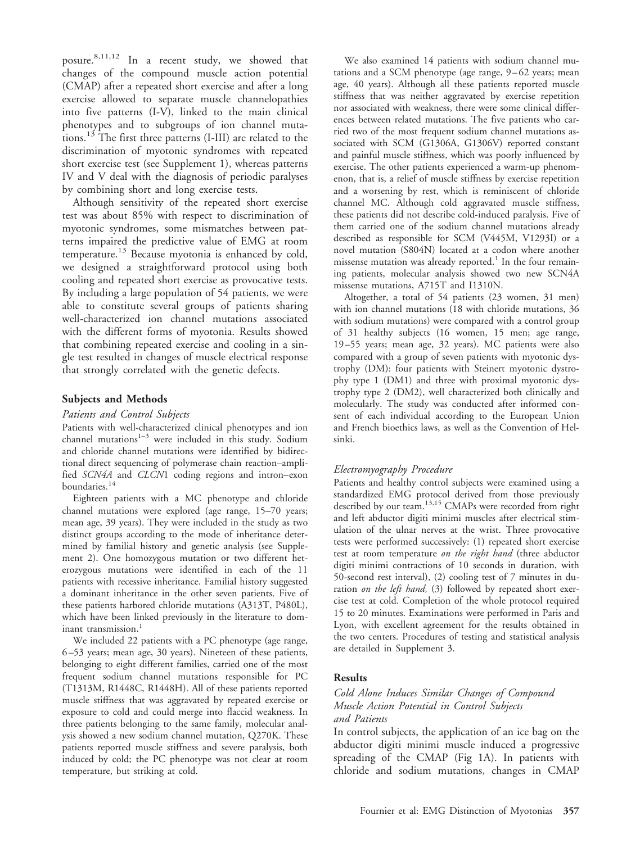posure.8,11,12 In a recent study, we showed that changes of the compound muscle action potential (CMAP) after a repeated short exercise and after a long exercise allowed to separate muscle channelopathies into five patterns (I-V), linked to the main clinical phenotypes and to subgroups of ion channel mutations.13 The first three patterns (I-III) are related to the discrimination of myotonic syndromes with repeated short exercise test (see Supplement 1), whereas patterns IV and V deal with the diagnosis of periodic paralyses by combining short and long exercise tests.

Although sensitivity of the repeated short exercise test was about 85% with respect to discrimination of myotonic syndromes, some mismatches between patterns impaired the predictive value of EMG at room temperature.<sup>13</sup> Because myotonia is enhanced by cold, we designed a straightforward protocol using both cooling and repeated short exercise as provocative tests. By including a large population of 54 patients, we were able to constitute several groups of patients sharing well-characterized ion channel mutations associated with the different forms of myotonia. Results showed that combining repeated exercise and cooling in a single test resulted in changes of muscle electrical response that strongly correlated with the genetic defects.

#### **Subjects and Methods**

#### *Patients and Control Subjects*

Patients with well-characterized clinical phenotypes and ion channel mutations $1-3$  were included in this study. Sodium and chloride channel mutations were identified by bidirectional direct sequencing of polymerase chain reaction–amplified *SCN4A* and *CLCN*1 coding regions and intron–exon boundaries.<sup>14</sup>

Eighteen patients with a MC phenotype and chloride channel mutations were explored (age range, 15–70 years; mean age, 39 years). They were included in the study as two distinct groups according to the mode of inheritance determined by familial history and genetic analysis (see Supplement 2). One homozygous mutation or two different heterozygous mutations were identified in each of the 11 patients with recessive inheritance. Familial history suggested a dominant inheritance in the other seven patients. Five of these patients harbored chloride mutations (A313T, P480L), which have been linked previously in the literature to dominant transmission.<sup>1</sup>

We included 22 patients with a PC phenotype (age range, 6 –53 years; mean age, 30 years). Nineteen of these patients, belonging to eight different families, carried one of the most frequent sodium channel mutations responsible for PC (T1313M, R1448C, R1448H). All of these patients reported muscle stiffness that was aggravated by repeated exercise or exposure to cold and could merge into flaccid weakness. In three patients belonging to the same family, molecular analysis showed a new sodium channel mutation, Q270K. These patients reported muscle stiffness and severe paralysis, both induced by cold; the PC phenotype was not clear at room temperature, but striking at cold.

We also examined 14 patients with sodium channel mutations and a SCM phenotype (age range,  $9-62$  years; mean age, 40 years). Although all these patients reported muscle stiffness that was neither aggravated by exercise repetition nor associated with weakness, there were some clinical differences between related mutations. The five patients who carried two of the most frequent sodium channel mutations associated with SCM (G1306A, G1306V) reported constant and painful muscle stiffness, which was poorly influenced by exercise. The other patients experienced a warm-up phenomenon, that is, a relief of muscle stiffness by exercise repetition and a worsening by rest, which is reminiscent of chloride channel MC. Although cold aggravated muscle stiffness, these patients did not describe cold-induced paralysis. Five of them carried one of the sodium channel mutations already described as responsible for SCM (V445M, V1293I) or a novel mutation (S804N) located at a codon where another missense mutation was already reported.<sup>1</sup> In the four remaining patients, molecular analysis showed two new SCN4A missense mutations, A715T and I1310N.

Altogether, a total of 54 patients (23 women, 31 men) with ion channel mutations (18 with chloride mutations, 36 with sodium mutations) were compared with a control group of 31 healthy subjects (16 women, 15 men; age range, 19 –55 years; mean age, 32 years). MC patients were also compared with a group of seven patients with myotonic dystrophy (DM): four patients with Steinert myotonic dystrophy type 1 (DM1) and three with proximal myotonic dystrophy type 2 (DM2), well characterized both clinically and molecularly. The study was conducted after informed consent of each individual according to the European Union and French bioethics laws, as well as the Convention of Helsinki.

#### *Electromyography Procedure*

Patients and healthy control subjects were examined using a standardized EMG protocol derived from those previously described by our team.13,15 CMAPs were recorded from right and left abductor digiti minimi muscles after electrical stimulation of the ulnar nerves at the wrist. Three provocative tests were performed successively: (1) repeated short exercise test at room temperature *on the right hand* (three abductor digiti minimi contractions of 10 seconds in duration, with 50-second rest interval), (2) cooling test of 7 minutes in duration *on the left hand,* (3) followed by repeated short exercise test at cold. Completion of the whole protocol required 15 to 20 minutes. Examinations were performed in Paris and Lyon, with excellent agreement for the results obtained in the two centers. Procedures of testing and statistical analysis are detailed in Supplement 3.

#### **Results**

## *Cold Alone Induces Similar Changes of Compound Muscle Action Potential in Control Subjects and Patients*

In control subjects, the application of an ice bag on the abductor digiti minimi muscle induced a progressive spreading of the CMAP (Fig 1A). In patients with chloride and sodium mutations, changes in CMAP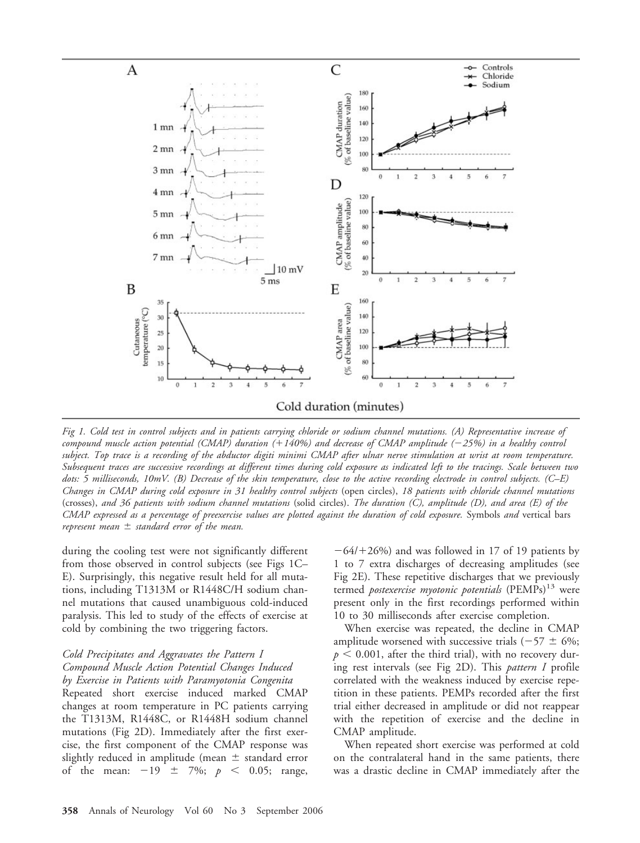

*Fig 1. Cold test in control subjects and in patients carrying chloride or sodium channel mutations. (A) Representative increase of compound muscle action potential (CMAP) duration (140%) and decrease of CMAP amplitude (25%) in a healthy control subject. Top trace is a recording of the abductor digiti minimi CMAP after ulnar nerve stimulation at wrist at room temperature. Subsequent traces are successive recordings at different times during cold exposure as indicated left to the tracings. Scale between two dots: 5 milliseconds, 10mV. (B) Decrease of the skin temperature, close to the active recording electrode in control subjects. (C–E) Changes in CMAP during cold exposure in 31 healthy control subjects* (open circles), *18 patients with chloride channel mutations* (crosses), *and 36 patients with sodium channel mutations* (solid circles). *The duration (C), amplitude (D), and area (E) of the CMAP expressed as a percentage of preexercise values are plotted against the duration of cold exposure.* Symbols *and* vertical bars  $\tau$  *represent mean*  $\pm$  *standard error of the mean.* 

during the cooling test were not significantly different from those observed in control subjects (see Figs 1C– E). Surprisingly, this negative result held for all mutations, including T1313M or R1448C/H sodium channel mutations that caused unambiguous cold-induced paralysis. This led to study of the effects of exercise at cold by combining the two triggering factors.

### *Cold Precipitates and Aggravates the Pattern I Compound Muscle Action Potential Changes Induced by Exercise in Patients with Paramyotonia Congenita*

Repeated short exercise induced marked CMAP changes at room temperature in PC patients carrying the T1313M, R1448C, or R1448H sodium channel mutations (Fig 2D). Immediately after the first exercise, the first component of the CMAP response was slightly reduced in amplitude (mean  $\pm$  standard error of the mean:  $-19 \pm 7\%$ ;  $p < 0.05$ ; range,

 $-64/+26%$ ) and was followed in 17 of 19 patients by 1 to 7 extra discharges of decreasing amplitudes (see Fig 2E). These repetitive discharges that we previously termed *postexercise myotonic potentials* (PEMPs)<sup>13</sup> were present only in the first recordings performed within 10 to 30 milliseconds after exercise completion.

When exercise was repeated, the decline in CMAP amplitude worsened with successive trials ( $-57 \pm 6\%$ ;  $p < 0.001$ , after the third trial), with no recovery during rest intervals (see Fig 2D). This *pattern I* profile correlated with the weakness induced by exercise repetition in these patients. PEMPs recorded after the first trial either decreased in amplitude or did not reappear with the repetition of exercise and the decline in CMAP amplitude.

When repeated short exercise was performed at cold on the contralateral hand in the same patients, there was a drastic decline in CMAP immediately after the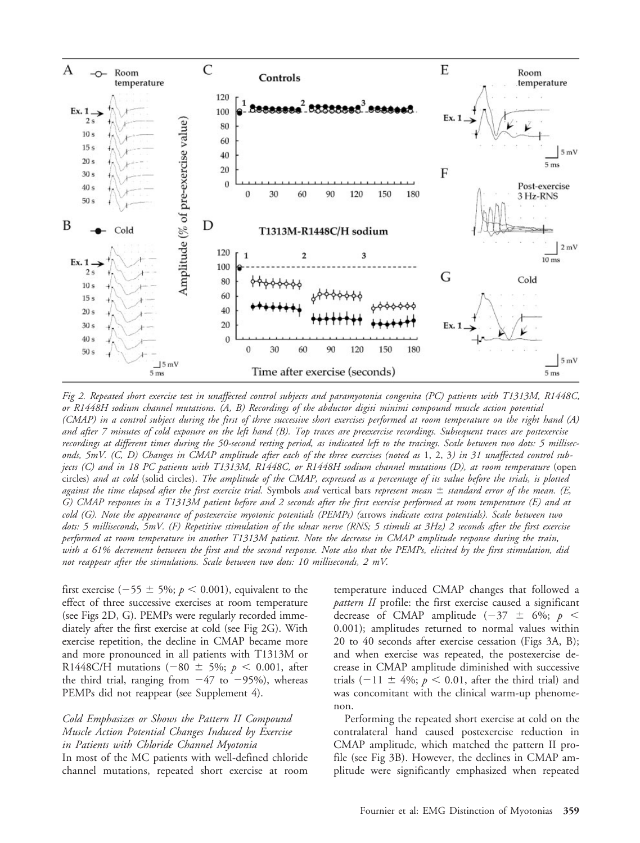

*Fig 2. Repeated short exercise test in unaffected control subjects and paramyotonia congenita (PC) patients with T1313M, R1448C, or R1448H sodium channel mutations. (A, B) Recordings of the abductor digiti minimi compound muscle action potential (CMAP) in a control subject during the first of three successive short exercises performed at room temperature on the right hand (A) and after 7 minutes of cold exposure on the left hand (B). Top traces are preexercise recordings. Subsequent traces are postexercise recordings at different times during the 50-second resting period, as indicated left to the tracings. Scale between two dots: 5 milliseconds, 5mV. (C, D) Changes in CMAP amplitude after each of the three exercises (noted as* 1, 2, 3*) in 31 unaffected control subjects (C) and in 18 PC patients with T1313M, R1448C, or R1448H sodium channel mutations (D), at room temperature* (open circles) *and at cold* (solid circles). *The amplitude of the CMAP, expressed as a percentage of its value before the trials, is plotted against the time elapsed after the first exercise trial.* Symbols *and* vertical bars *represent mean* - *standard error of the mean. (E, G) CMAP responses in a T1313M patient before and 2 seconds after the first exercise performed at room temperature (E) and at cold (G). Note the appearance of postexercise myotonic potentials (PEMPs) (*arrows *indicate extra potentials). Scale between two dots: 5 milliseconds, 5mV. (F) Repetitive stimulation of the ulnar nerve (RNS; 5 stimuli at 3Hz) 2 seconds after the first exercise performed at room temperature in another T1313M patient. Note the decrease in CMAP amplitude response during the train, with a 61% decrement between the first and the second response. Note also that the PEMPs, elicited by the first stimulation, did not reappear after the stimulations. Scale between two dots: 10 milliseconds, 2 mV.*

first exercise ( $-55 \pm 5\%$ ;  $p < 0.001$ ), equivalent to the effect of three successive exercises at room temperature (see Figs 2D, G). PEMPs were regularly recorded immediately after the first exercise at cold (see Fig 2G). With exercise repetition, the decline in CMAP became more and more pronounced in all patients with T1313M or R1448C/H mutations  $(-80 \pm 5\%; p < 0.001,$  after the third trial, ranging from  $-47$  to  $-95%$ ), whereas PEMPs did not reappear (see Supplement 4).

*Cold Emphasizes or Shows the Pattern II Compound Muscle Action Potential Changes Induced by Exercise in Patients with Chloride Channel Myotonia* In most of the MC patients with well-defined chloride channel mutations, repeated short exercise at room

temperature induced CMAP changes that followed a *pattern II* profile: the first exercise caused a significant decrease of CMAP amplitude  $(-37 \pm 6\%; p <$ 0.001); amplitudes returned to normal values within 20 to 40 seconds after exercise cessation (Figs 3A, B); and when exercise was repeated, the postexercise decrease in CMAP amplitude diminished with successive trials  $(-11 \pm 4\%; p < 0.01$ , after the third trial) and was concomitant with the clinical warm-up phenomenon.

Performing the repeated short exercise at cold on the contralateral hand caused postexercise reduction in CMAP amplitude, which matched the pattern II profile (see Fig 3B). However, the declines in CMAP amplitude were significantly emphasized when repeated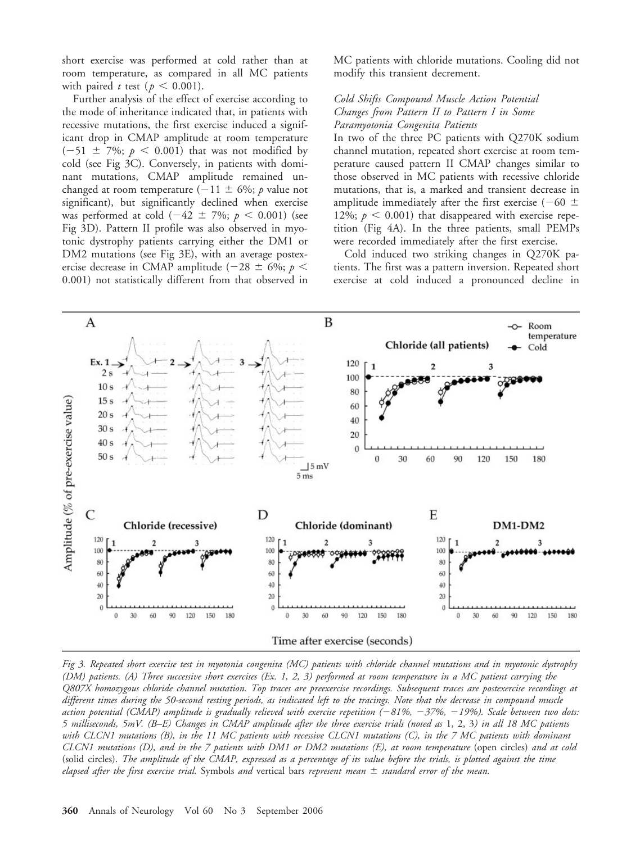short exercise was performed at cold rather than at room temperature, as compared in all MC patients with paired *t* test ( $p < 0.001$ ).

Further analysis of the effect of exercise according to the mode of inheritance indicated that, in patients with recessive mutations, the first exercise induced a significant drop in CMAP amplitude at room temperature  $(-51 \pm 7\%; p < 0.001)$  that was not modified by cold (see Fig 3C). Conversely, in patients with dominant mutations, CMAP amplitude remained unchanged at room temperature  $(-11 \pm 6\%)$ ; *p* value not significant), but significantly declined when exercise was performed at cold  $(-42 \pm 7\%)$ ;  $p < 0.001$ ) (see Fig 3D). Pattern II profile was also observed in myotonic dystrophy patients carrying either the DM1 or DM2 mutations (see Fig 3E), with an average postexercise decrease in CMAP amplitude (-28  $\pm$  6%; *p* < 0.001) not statistically different from that observed in

MC patients with chloride mutations. Cooling did not modify this transient decrement.

### *Cold Shifts Compound Muscle Action Potential Changes from Pattern II to Pattern I in Some Paramyotonia Congenita Patients*

In two of the three PC patients with Q270K sodium channel mutation, repeated short exercise at room temperature caused pattern II CMAP changes similar to those observed in MC patients with recessive chloride mutations, that is, a marked and transient decrease in amplitude immediately after the first exercise (–60  $\pm$ 12%;  $p < 0.001$ ) that disappeared with exercise repetition (Fig 4A). In the three patients, small PEMPs were recorded immediately after the first exercise.

Cold induced two striking changes in Q270K patients. The first was a pattern inversion. Repeated short exercise at cold induced a pronounced decline in



*Fig 3. Repeated short exercise test in myotonia congenita (MC) patients with chloride channel mutations and in myotonic dystrophy (DM) patients. (A) Three successive short exercises (Ex. 1, 2, 3) performed at room temperature in a MC patient carrying the Q807X homozygous chloride channel mutation. Top traces are preexercise recordings. Subsequent traces are postexercise recordings at different times during the 50-second resting periods, as indicated left to the tracings. Note that the decrease in compound muscle action potential (CMAP) amplitude is gradually relieved with exercise repetition (81%, 37%, 19%). Scale between two dots: 5 milliseconds, 5mV. (B–E) Changes in CMAP amplitude after the three exercise trials (noted as* 1, 2, 3*) in all 18 MC patients with CLCN1 mutations (B), in the 11 MC patients with recessive CLCN1 mutations (C), in the 7 MC patients with dominant CLCN1 mutations (D), and in the 7 patients with DM1 or DM2 mutations (E), at room temperature* (open circles) *and at cold* (solid circles). *The amplitude of the CMAP, expressed as a percentage of its value before the trials, is plotted against the time elapsed after the first exercise trial.* Symbols *and* vertical bars *represent mean* - *standard error of the mean.*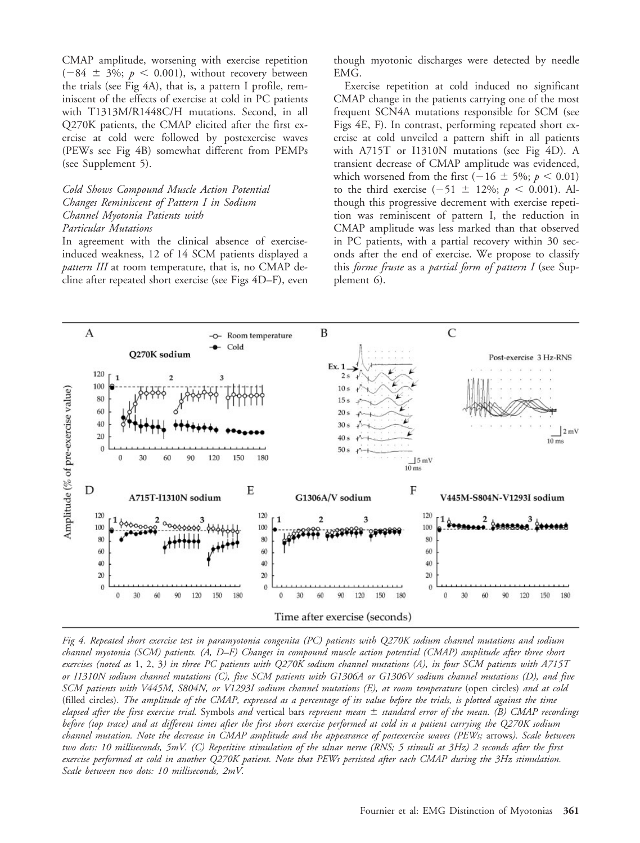CMAP amplitude, worsening with exercise repetition  $(-84 \pm 3\%)$ ;  $p < 0.001$ ), without recovery between the trials (see Fig 4A), that is, a pattern I profile, reminiscent of the effects of exercise at cold in PC patients with T1313M/R1448C/H mutations. Second, in all Q270K patients, the CMAP elicited after the first exercise at cold were followed by postexercise waves (PEWs see Fig 4B) somewhat different from PEMPs (see Supplement 5).

### *Cold Shows Compound Muscle Action Potential Changes Reminiscent of Pattern I in Sodium Channel Myotonia Patients with Particular Mutations*

In agreement with the clinical absence of exerciseinduced weakness, 12 of 14 SCM patients displayed a *pattern III* at room temperature, that is, no CMAP decline after repeated short exercise (see Figs 4D–F), even though myotonic discharges were detected by needle EMG.

Exercise repetition at cold induced no significant CMAP change in the patients carrying one of the most frequent SCN4A mutations responsible for SCM (see Figs 4E, F). In contrast, performing repeated short exercise at cold unveiled a pattern shift in all patients with A715T or I1310N mutations (see Fig 4D). A transient decrease of CMAP amplitude was evidenced, which worsened from the first  $(-16 \pm 5\%; p < 0.01)$ to the third exercise  $(-51 \pm 12\%; p \le 0.001)$ . Although this progressive decrement with exercise repetition was reminiscent of pattern I, the reduction in CMAP amplitude was less marked than that observed in PC patients, with a partial recovery within 30 seconds after the end of exercise. We propose to classify this *forme fruste* as a *partial form of pattern I* (see Supplement 6).



*Fig 4. Repeated short exercise test in paramyotonia congenita (PC) patients with Q270K sodium channel mutations and sodium channel myotonia (SCM) patients. (A, D–F) Changes in compound muscle action potential (CMAP) amplitude after three short exercises (noted as* 1, 2, 3*) in three PC patients with Q270K sodium channel mutations (A), in four SCM patients with A715T or I1310N sodium channel mutations (C), five SCM patients with G1306A or G1306V sodium channel mutations (D), and five SCM patients with V445M, S804N, or V1293I sodium channel mutations (E), at room temperature* (open circles) *and at cold* (filled circles). *The amplitude of the CMAP, expressed as a percentage of its value before the trials, is plotted against the time elapsed after the first exercise trial.* Symbols *and* vertical bars *represent mean* - *standard error of the mean. (B) CMAP recordings before (top trace) and at different times after the first short exercise performed at cold in a patient carrying the Q270K sodium channel mutation. Note the decrease in CMAP amplitude and the appearance of postexercise waves (PEWs;* arrows*). Scale between two dots: 10 milliseconds, 5mV. (C) Repetitive stimulation of the ulnar nerve (RNS; 5 stimuli at 3Hz) 2 seconds after the first exercise performed at cold in another Q270K patient. Note that PEWs persisted after each CMAP during the 3Hz stimulation. Scale between two dots: 10 milliseconds, 2mV.*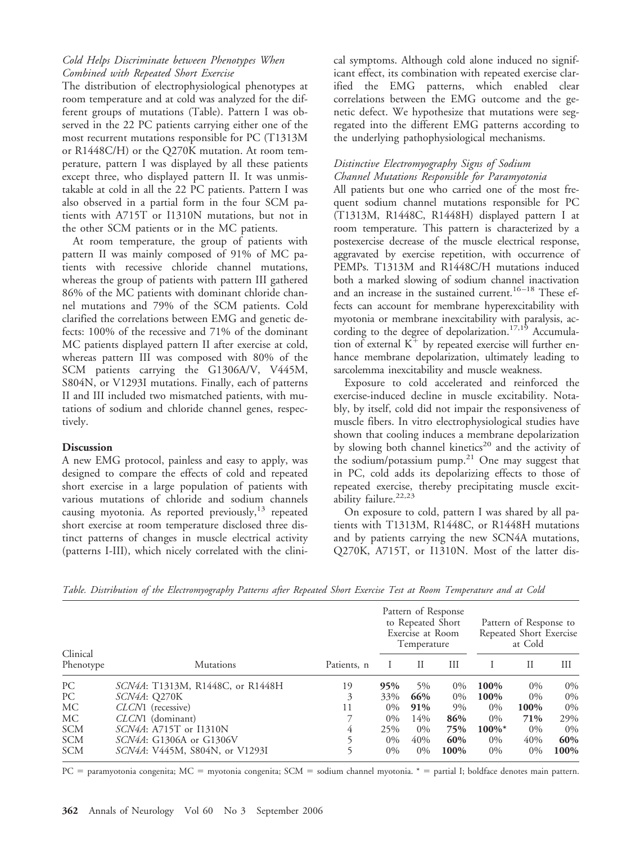## *Cold Helps Discriminate between Phenotypes When Combined with Repeated Short Exercise*

The distribution of electrophysiological phenotypes at room temperature and at cold was analyzed for the different groups of mutations (Table). Pattern I was observed in the 22 PC patients carrying either one of the most recurrent mutations responsible for PC (T1313M or R1448C/H) or the Q270K mutation. At room temperature, pattern I was displayed by all these patients except three, who displayed pattern II. It was unmistakable at cold in all the 22 PC patients. Pattern I was also observed in a partial form in the four SCM patients with A715T or I1310N mutations, but not in the other SCM patients or in the MC patients.

At room temperature, the group of patients with pattern II was mainly composed of 91% of MC patients with recessive chloride channel mutations, whereas the group of patients with pattern III gathered 86% of the MC patients with dominant chloride channel mutations and 79% of the SCM patients. Cold clarified the correlations between EMG and genetic defects: 100% of the recessive and 71% of the dominant MC patients displayed pattern II after exercise at cold, whereas pattern III was composed with 80% of the SCM patients carrying the G1306A/V, V445M, S804N, or V1293I mutations. Finally, each of patterns II and III included two mismatched patients, with mutations of sodium and chloride channel genes, respectively.

## **Discussion**

A new EMG protocol, painless and easy to apply, was designed to compare the effects of cold and repeated short exercise in a large population of patients with various mutations of chloride and sodium channels causing myotonia. As reported previously, $^{13}$  repeated short exercise at room temperature disclosed three distinct patterns of changes in muscle electrical activity (patterns I-III), which nicely correlated with the clinical symptoms. Although cold alone induced no significant effect, its combination with repeated exercise clarified the EMG patterns, which enabled clear correlations between the EMG outcome and the genetic defect. We hypothesize that mutations were segregated into the different EMG patterns according to the underlying pathophysiological mechanisms.

## *Distinctive Electromyography Signs of Sodium Channel Mutations Responsible for Paramyotonia*

All patients but one who carried one of the most frequent sodium channel mutations responsible for PC (T1313M, R1448C, R1448H) displayed pattern I at room temperature. This pattern is characterized by a postexercise decrease of the muscle electrical response, aggravated by exercise repetition, with occurrence of PEMPs. T1313M and R1448C/H mutations induced both a marked slowing of sodium channel inactivation and an increase in the sustained current.<sup>16-18</sup> These effects can account for membrane hyperexcitability with myotonia or membrane inexcitability with paralysis, according to the degree of depolarization.<sup>17,19</sup> Accumulation of external  $K^+$  by repeated exercise will further enhance membrane depolarization, ultimately leading to sarcolemma inexcitability and muscle weakness.

Exposure to cold accelerated and reinforced the exercise-induced decline in muscle excitability. Notably, by itself, cold did not impair the responsiveness of muscle fibers. In vitro electrophysiological studies have shown that cooling induces a membrane depolarization by slowing both channel kinetics<sup>20</sup> and the activity of the sodium/potassium pump.<sup>21</sup> One may suggest that in PC, cold adds its depolarizing effects to those of repeated exercise, thereby precipitating muscle excitability failure.<sup>22,23</sup>

On exposure to cold, pattern I was shared by all patients with T1313M, R1448C, or R1448H mutations and by patients carrying the new SCN4A mutations, Q270K, A715T, or I1310N. Most of the latter dis-

| Clinical<br>Phenotype | <b>Mutations</b>                       | Patients, n | Pattern of Response<br>to Repeated Short<br>Exercise at Room<br>Temperature |       |       | Pattern of Response to<br>Repeated Short Exercise<br>at Cold |       |         |
|-----------------------|----------------------------------------|-------------|-----------------------------------------------------------------------------|-------|-------|--------------------------------------------------------------|-------|---------|
|                       |                                        |             |                                                                             | П     | Ш     |                                                              | Н     | Ш       |
| PC                    | SCN4A: T1313M, R1448C, or R1448H       | 19          | 95%                                                                         | 5%    | $0\%$ | 100%                                                         | $0\%$ | 0%      |
| PC                    | SCN4A: Q270K                           | 3           | 33%                                                                         | 66%   | $0\%$ | 100%                                                         | $0\%$ | 0%      |
| МC                    | CLCN1 (recessive)                      | 11          | $0\%$                                                                       | 91%   | $9\%$ | $0\%$                                                        | 100%  | 0%      |
| МC                    | CLCN1 (dominant)                       |             | $0\%$                                                                       | 14%   | 86%   | $0\%$                                                        | 71%   | 29%     |
| <b>SCM</b>            | <i>SCN4A</i> : A715T or I1310N         | 4           | 25%                                                                         | $0\%$ | 75%   | $100\%$ *                                                    | $0\%$ | 0%      |
| <b>SCM</b>            | SCN4A: G1306A or G1306V                |             | $0\%$                                                                       | 40%   | 60%   | $0\%$                                                        | 40%   | 60%     |
| <b>SCM</b>            | <i>SCN4A</i> : V445M, S804N, or V1293I |             | $0\%$                                                                       | $0\%$ | 100%  | $0\%$                                                        | $0\%$ | $100\%$ |

*Table. Distribution of the Electromyography Patterns after Repeated Short Exercise Test at Room Temperature and at Cold*

PC = paramyotonia congenita; MC = myotonia congenita; SCM = sodium channel myotonia. \* = partial I; boldface denotes main pattern.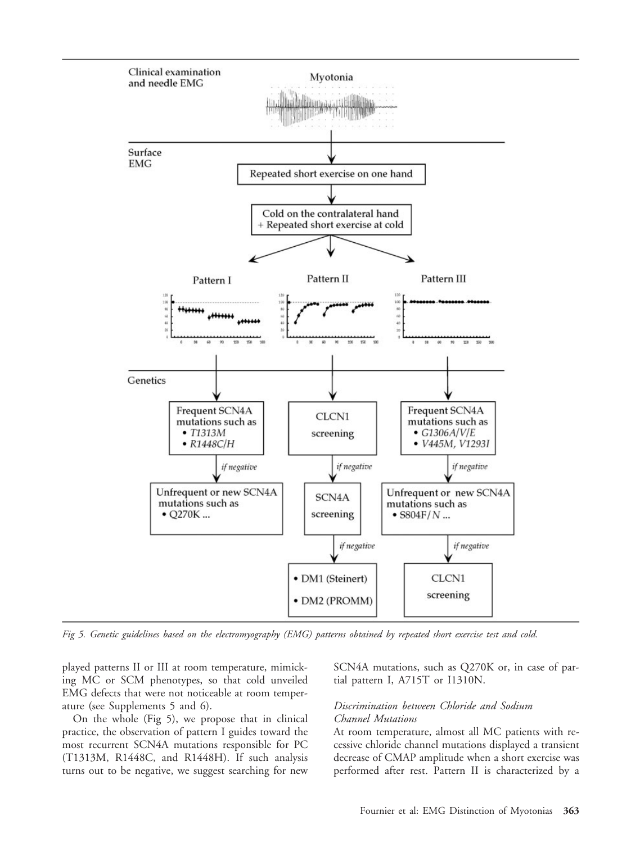

*Fig 5. Genetic guidelines based on the electromyography (EMG) patterns obtained by repeated short exercise test and cold.*

played patterns II or III at room temperature, mimicking MC or SCM phenotypes, so that cold unveiled EMG defects that were not noticeable at room temperature (see Supplements 5 and 6).

On the whole (Fig 5), we propose that in clinical practice, the observation of pattern I guides toward the most recurrent SCN4A mutations responsible for PC (T1313M, R1448C, and R1448H). If such analysis turns out to be negative, we suggest searching for new SCN4A mutations, such as Q270K or, in case of partial pattern I, A715T or I1310N.

#### *Discrimination between Chloride and Sodium Channel Mutations*

At room temperature, almost all MC patients with recessive chloride channel mutations displayed a transient decrease of CMAP amplitude when a short exercise was performed after rest. Pattern II is characterized by a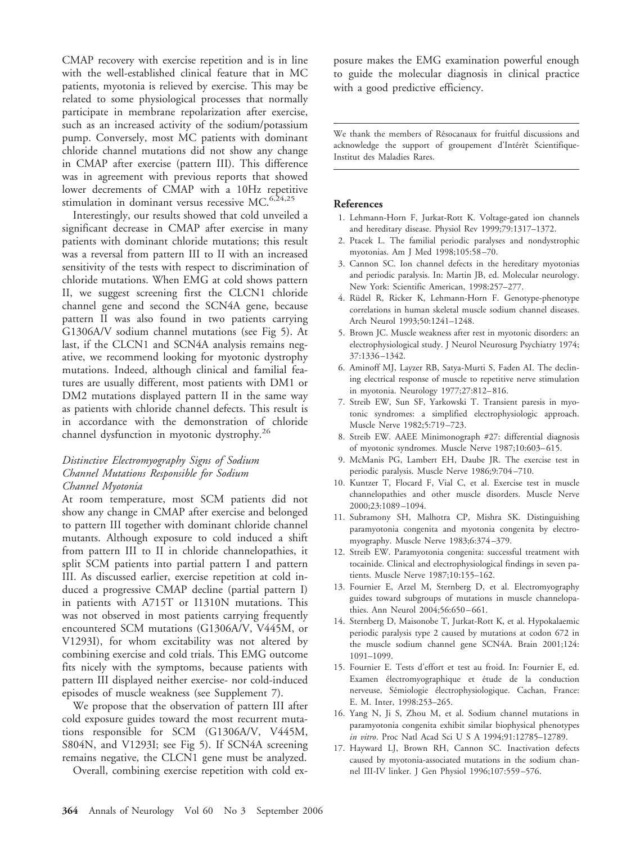CMAP recovery with exercise repetition and is in line with the well-established clinical feature that in MC patients, myotonia is relieved by exercise. This may be related to some physiological processes that normally participate in membrane repolarization after exercise, such as an increased activity of the sodium/potassium pump. Conversely, most MC patients with dominant chloride channel mutations did not show any change in CMAP after exercise (pattern III). This difference was in agreement with previous reports that showed lower decrements of CMAP with a 10Hz repetitive stimulation in dominant versus recessive MC. $6,24,25$ 

Interestingly, our results showed that cold unveiled a significant decrease in CMAP after exercise in many patients with dominant chloride mutations; this result was a reversal from pattern III to II with an increased sensitivity of the tests with respect to discrimination of chloride mutations. When EMG at cold shows pattern II, we suggest screening first the CLCN1 chloride channel gene and second the SCN4A gene, because pattern II was also found in two patients carrying G1306A/V sodium channel mutations (see Fig 5). At last, if the CLCN1 and SCN4A analysis remains negative, we recommend looking for myotonic dystrophy mutations. Indeed, although clinical and familial features are usually different, most patients with DM1 or DM2 mutations displayed pattern II in the same way as patients with chloride channel defects. This result is in accordance with the demonstration of chloride channel dysfunction in myotonic dystrophy.26

### *Distinctive Electromyography Signs of Sodium Channel Mutations Responsible for Sodium Channel Myotonia*

At room temperature, most SCM patients did not show any change in CMAP after exercise and belonged to pattern III together with dominant chloride channel mutants. Although exposure to cold induced a shift from pattern III to II in chloride channelopathies, it split SCM patients into partial pattern I and pattern III. As discussed earlier, exercise repetition at cold induced a progressive CMAP decline (partial pattern I) in patients with A715T or I1310N mutations. This was not observed in most patients carrying frequently encountered SCM mutations (G1306A/V, V445M, or V1293I), for whom excitability was not altered by combining exercise and cold trials. This EMG outcome fits nicely with the symptoms, because patients with pattern III displayed neither exercise- nor cold-induced episodes of muscle weakness (see Supplement 7).

We propose that the observation of pattern III after cold exposure guides toward the most recurrent mutations responsible for SCM (G1306A/V, V445M, S804N, and V1293I; see Fig 5). If SCN4A screening remains negative, the CLCN1 gene must be analyzed.

Overall, combining exercise repetition with cold ex-

posure makes the EMG examination powerful enough to guide the molecular diagnosis in clinical practice with a good predictive efficiency.

We thank the members of Résocanaux for fruitful discussions and acknowledge the support of groupement d'Intérêt Scientifique-Institut des Maladies Rares.

#### **References**

- 1. Lehmann-Horn F, Jurkat-Rott K. Voltage-gated ion channels and hereditary disease. Physiol Rev 1999;79:1317–1372.
- 2. Ptacek L. The familial periodic paralyses and nondystrophic myotonias. Am J Med 1998;105:58 –70.
- 3. Cannon SC. Ion channel defects in the hereditary myotonias and periodic paralysis. In: Martin JB, ed. Molecular neurology. New York: Scientific American, 1998:257–277.
- 4. Rüdel R, Ricker K, Lehmann-Horn F. Genotype-phenotype correlations in human skeletal muscle sodium channel diseases. Arch Neurol 1993;50:1241–1248.
- 5. Brown JC. Muscle weakness after rest in myotonic disorders: an electrophysiological study. J Neurol Neurosurg Psychiatry 1974; 37:1336 –1342.
- 6. Aminoff MJ, Layzer RB, Satya-Murti S, Faden AI. The declining electrical response of muscle to repetitive nerve stimulation in myotonia. Neurology 1977;27:812– 816.
- 7. Streib EW, Sun SF, Yarkowski T. Transient paresis in myotonic syndromes: a simplified electrophysiologic approach. Muscle Nerve 1982;5:719 –723.
- 8. Streib EW. AAEE Minimonograph #27: differential diagnosis of myotonic syndromes. Muscle Nerve 1987;10:603-615.
- 9. McManis PG, Lambert EH, Daube JR. The exercise test in periodic paralysis. Muscle Nerve 1986;9:704 –710.
- 10. Kuntzer T, Flocard F, Vial C, et al. Exercise test in muscle channelopathies and other muscle disorders. Muscle Nerve 2000;23:1089 –1094.
- 11. Subramony SH, Malhotra CP, Mishra SK. Distinguishing paramyotonia congenita and myotonia congenita by electromyography. Muscle Nerve 1983;6:374 –379.
- 12. Streib EW. Paramyotonia congenita: successful treatment with tocainide. Clinical and electrophysiological findings in seven patients. Muscle Nerve 1987;10:155–162.
- 13. Fournier E, Arzel M, Sternberg D, et al. Electromyography guides toward subgroups of mutations in muscle channelopathies. Ann Neurol 2004;56:650 – 661.
- 14. Sternberg D, Maisonobe T, Jurkat-Rott K, et al. Hypokalaemic periodic paralysis type 2 caused by mutations at codon 672 in the muscle sodium channel gene SCN4A. Brain 2001;124: 1091–1099.
- 15. Fournier E. Tests d'effort et test au froid. In: Fournier E, ed. Examen électromyographique et étude de la conduction nerveuse, Sémiologie électrophysiologique. Cachan, France: E. M. Inter, 1998:253–265.
- 16. Yang N, Ji S, Zhou M, et al. Sodium channel mutations in paramyotonia congenita exhibit similar biophysical phenotypes *in vitro*. Proc Natl Acad Sci U S A 1994;91:12785-12789.
- 17. Hayward LJ, Brown RH, Cannon SC. Inactivation defects caused by myotonia-associated mutations in the sodium channel III-IV linker. J Gen Physiol 1996;107:559 –576.